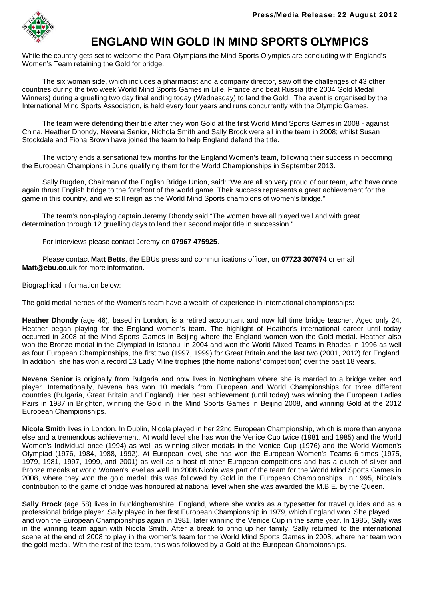

# **ENGLAND WIN GOLD IN MIND SPORTS OLYMPICS**

While the country gets set to welcome the Para-Olympians the Mind Sports Olympics are concluding with England's Women's Team retaining the Gold for bridge.

 The six woman side, which includes a pharmacist and a company director, saw off the challenges of 43 other countries during the two week World Mind Sports Games in Lille, France and beat Russia (the 2004 Gold Medal Winners) during a gruelling two day final ending today (Wednesday) to land the Gold. The event is organised by the International Mind Sports Association, is held every four years and runs concurrently with the Olympic Games.

 The team were defending their title after they won Gold at the first World Mind Sports Games in 2008 - against China. Heather Dhondy, Nevena Senior, Nichola Smith and Sally Brock were all in the team in 2008; whilst Susan Stockdale and Fiona Brown have joined the team to help England defend the title.

 The victory ends a sensational few months for the England Women's team, following their success in becoming the European Champions in June qualifying them for the World Championships in September 2013.

 Sally Bugden, Chairman of the English Bridge Union, said: "We are all so very proud of our team, who have once again thrust English bridge to the forefront of the world game. Their success represents a great achievement for the game in this country, and we still reign as the World Mind Sports champions of women's bridge."

 The team's non-playing captain Jeremy Dhondy said "The women have all played well and with great determination through 12 gruelling days to land their second major title in succession."

For interviews please contact Jeremy on **07967 475925**.

 Please contact **Matt Betts**, the EBUs press and communications officer, on **07723 307674** or email **Matt@ebu.co.uk** for more information.

Biographical information below:

The gold medal heroes of the Women's team have a wealth of experience in international championships**:**

**Heather Dhondy** (age 46), based in London, is a retired accountant and now full time bridge teacher. Aged only 24, Heather began playing for the England women's team. The highlight of Heather's international career until today occurred in 2008 at the Mind Sports Games in Beijing where the England women won the Gold medal. Heather also won the Bronze medal in the Olympiad in Istanbul in 2004 and won the World Mixed Teams in Rhodes in 1996 as well as four European Championships, the first two (1997, 1999) for Great Britain and the last two (2001, 2012) for England. In addition, she has won a record 13 Lady Milne trophies (the home nations' competition) over the past 18 years.

**Nevena Senior** is originally from Bulgaria and now lives in Nottingham where she is married to a bridge writer and player. Internationally, Nevena has won 10 medals from European and World Championships for three different countries (Bulgaria, Great Britain and England). Her best achievement (until today) was winning the European Ladies Pairs in 1987 in Brighton, winning the Gold in the Mind Sports Games in Beijing 2008, and winning Gold at the 2012 European Championships.

**Nicola Smith** lives in London. In Dublin, Nicola played in her 22nd European Championship, which is more than anyone else and a tremendous achievement. At world level she has won the Venice Cup twice (1981 and 1985) and the World Women's Individual once (1994) as well as winning silver medals in the Venice Cup (1976) and the World Women's Olympiad (1976, 1984, 1988, 1992). At European level, she has won the European Women's Teams 6 times (1975, 1979, 1981, 1997, 1999, and 2001) as well as a host of other European competitions and has a clutch of silver and Bronze medals at world Women's level as well. In 2008 Nicola was part of the team for the World Mind Sports Games in 2008, where they won the gold medal; this was followed by Gold in the European Championships. In 1995, Nicola's contribution to the game of bridge was honoured at national level when she was awarded the M.B.E. by the Queen.

**Sally Brock** (age 58) lives in Buckinghamshire, England, where she works as a typesetter for travel guides and as a professional bridge player. Sally played in her first European Championship in 1979, which England won. She played and won the European Championships again in 1981, later winning the Venice Cup in the same year. In 1985, Sally was in the winning team again with Nicola Smith. After a break to bring up her family, Sally returned to the international scene at the end of 2008 to play in the women's team for the World Mind Sports Games in 2008, where her team won the gold medal. With the rest of the team, this was followed by a Gold at the European Championships.